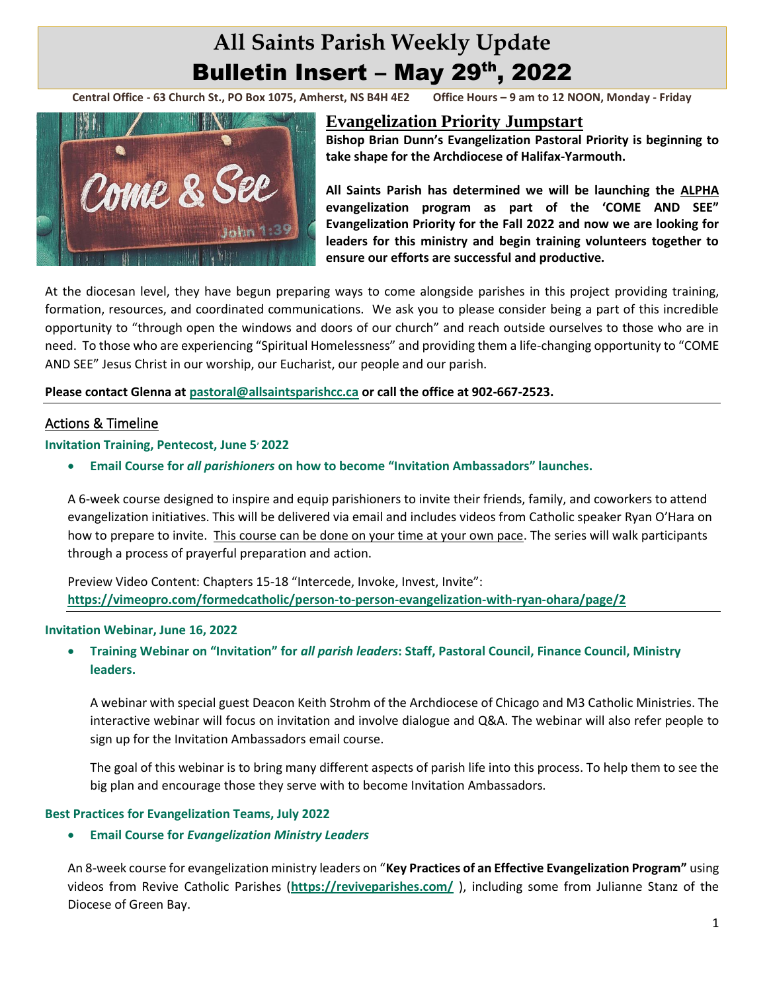# **All Saints Parish Weekly Update** Bulletin Insert - May 29th, 2022

**Central Office - 63 Church St., PO Box 1075, Amherst, NS B4H 4E2 Office Hours – 9 am to 12 NOON, Monday - Friday**



# **Evangelization Priority Jumpstart**

**Bishop Brian Dunn's Evangelization Pastoral Priority is beginning to take shape for the Archdiocese of Halifax-Yarmouth.** 

**All Saints Parish has determined we will be launching the ALPHA evangelization program as part of the 'COME AND SEE" Evangelization Priority for the Fall 2022 and now we are looking for leaders for this ministry and begin training volunteers together to ensure our efforts are successful and productive.**

At the diocesan level, they have begun preparing ways to come alongside parishes in this project providing training, formation, resources, and coordinated communications. We ask you to please consider being a part of this incredible opportunity to "through open the windows and doors of our church" and reach outside ourselves to those who are in need. To those who are experiencing "Spiritual Homelessness" and providing them a life-changing opportunity to "COME AND SEE" Jesus Christ in our worship, our Eucharist, our people and our parish.

#### **Please contact Glenna at [pastoral@allsaintsparishcc.ca](mailto:pastoral@allsaintsparishcc.ca) or call the office at 902-667-2523.**

# Actions & Timeline

#### **Invitation Training, Pentecost, June 5, 2022**

• **Email Course for** *all parishioners* **on how to become "Invitation Ambassadors" launches.**

A 6-week course designed to inspire and equip parishioners to invite their friends, family, and coworkers to attend evangelization initiatives. This will be delivered via email and includes videos from Catholic speaker Ryan O'Hara on how to prepare to invite. This course can be done on your time at your own pace. The series will walk participants through a process of prayerful preparation and action.

Preview Video Content: Chapters 15-18 "Intercede, Invoke, Invest, Invite": **<https://vimeopro.com/formedcatholic/person-to-person-evangelization-with-ryan-ohara/page/2>**

#### **Invitation Webinar, June 16, 2022**

• **Training Webinar on "Invitation" for** *all parish leaders***: Staff, Pastoral Council, Finance Council, Ministry leaders.**

A webinar with special guest Deacon Keith Strohm of the Archdiocese of Chicago and M3 Catholic Ministries. The interactive webinar will focus on invitation and involve dialogue and Q&A. The webinar will also refer people to sign up for the Invitation Ambassadors email course.

The goal of this webinar is to bring many different aspects of parish life into this process. To help them to see the big plan and encourage those they serve with to become Invitation Ambassadors.

#### **Best Practices for Evangelization Teams, July 2022**

#### • **Email Course for** *Evangelization Ministry Leaders*

An 8-week course for evangelization ministry leaders on "**Key Practices of an Effective Evangelization Program"** using videos from Revive Catholic Parishes (**<https://reviveparishes.com/>** ), including some from Julianne Stanz of the Diocese of Green Bay.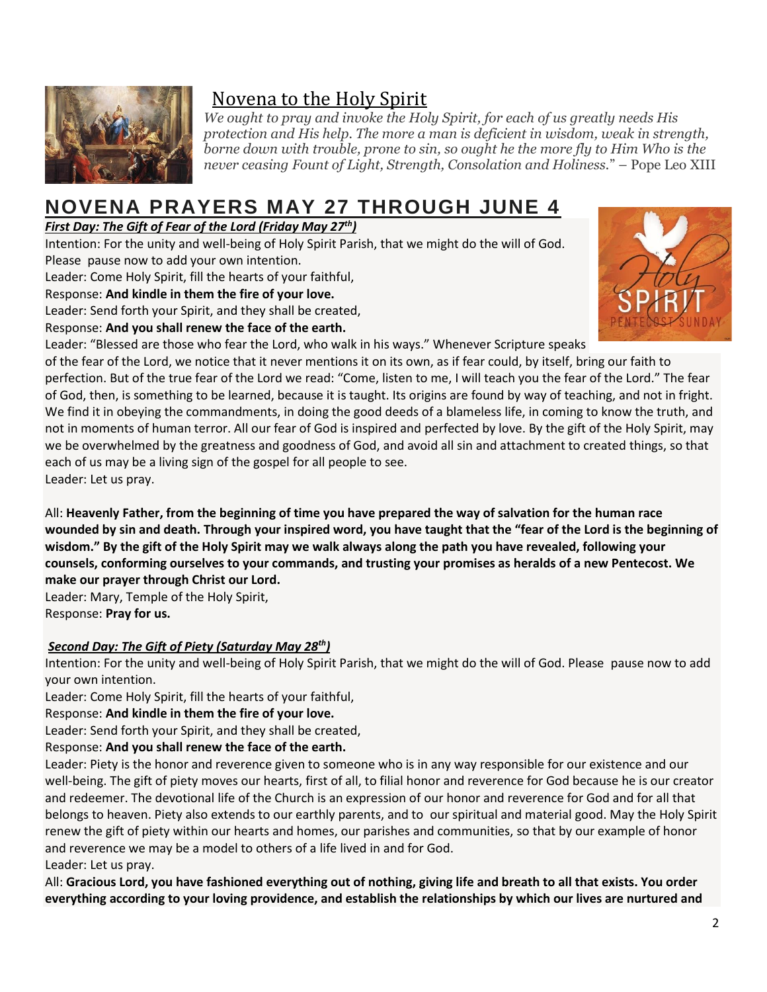

# Novena to the Holy Spirit

*We ought to pray and invoke the Holy Spirit, for each of us greatly needs His protection and His help. The more a man is deficient in wisdom, weak in strength, borne down with trouble, prone to sin, so ought he the more fly to Him Who is the never ceasing Fount of Light, Strength, Consolation and Holiness.*" – Pope Leo XIII

# **NOVENA PRAYERS MAY 27 THROUGH JUNE 4**

*First Day: The Gift of Fear of the Lord (Friday May 27th)*

Intention: For the unity and well-being of Holy Spirit Parish, that we might do the will of God. Please pause now to add your own intention.

Leader: Come Holy Spirit, fill the hearts of your faithful,

Response: **And kindle in them the fire of your love.**

Leader: Send forth your Spirit, and they shall be created,

Response: **And you shall renew the face of the earth.**

Leader: "Blessed are those who fear the Lord, who walk in his ways." Whenever Scripture speaks



of the fear of the Lord, we notice that it never mentions it on its own, as if fear could, by itself, bring our faith to perfection. But of the true fear of the Lord we read: "Come, listen to me, I will teach you the fear of the Lord." The fear of God, then, is something to be learned, because it is taught. Its origins are found by way of teaching, and not in fright. We find it in obeying the commandments, in doing the good deeds of a blameless life, in coming to know the truth, and not in moments of human terror. All our fear of God is inspired and perfected by love. By the gift of the Holy Spirit, may we be overwhelmed by the greatness and goodness of God, and avoid all sin and attachment to created things, so that each of us may be a living sign of the gospel for all people to see. Leader: Let us pray.

All: **Heavenly Father, from the beginning of time you have prepared the way of salvation for the human race wounded by sin and death. Through your inspired word, you have taught that the "fear of the Lord is the beginning of wisdom." By the gift of the Holy Spirit may we walk always along the path you have revealed, following your counsels, conforming ourselves to your commands, and trusting your promises as heralds of a new Pentecost. We make our prayer through Christ our Lord.**

Leader: Mary, Temple of the Holy Spirit, Response: **Pray for us.**

# *Second Day: The Gift of Piety (Saturday May 28th)*

Intention: For the unity and well-being of Holy Spirit Parish, that we might do the will of God. Please pause now to add your own intention.

Leader: Come Holy Spirit, fill the hearts of your faithful,

Response: **And kindle in them the fire of your love.**

Leader: Send forth your Spirit, and they shall be created,

Response: **And you shall renew the face of the earth.**

Leader: Piety is the honor and reverence given to someone who is in any way responsible for our existence and our well-being. The gift of piety moves our hearts, first of all, to filial honor and reverence for God because he is our creator and redeemer. The devotional life of the Church is an expression of our honor and reverence for God and for all that belongs to heaven. Piety also extends to our earthly parents, and to our spiritual and material good. May the Holy Spirit renew the gift of piety within our hearts and homes, our parishes and communities, so that by our example of honor and reverence we may be a model to others of a life lived in and for God. Leader: Let us pray.

All: **Gracious Lord, you have fashioned everything out of nothing, giving life and breath to all that exists. You order everything according to your loving providence, and establish the relationships by which our lives are nurtured and**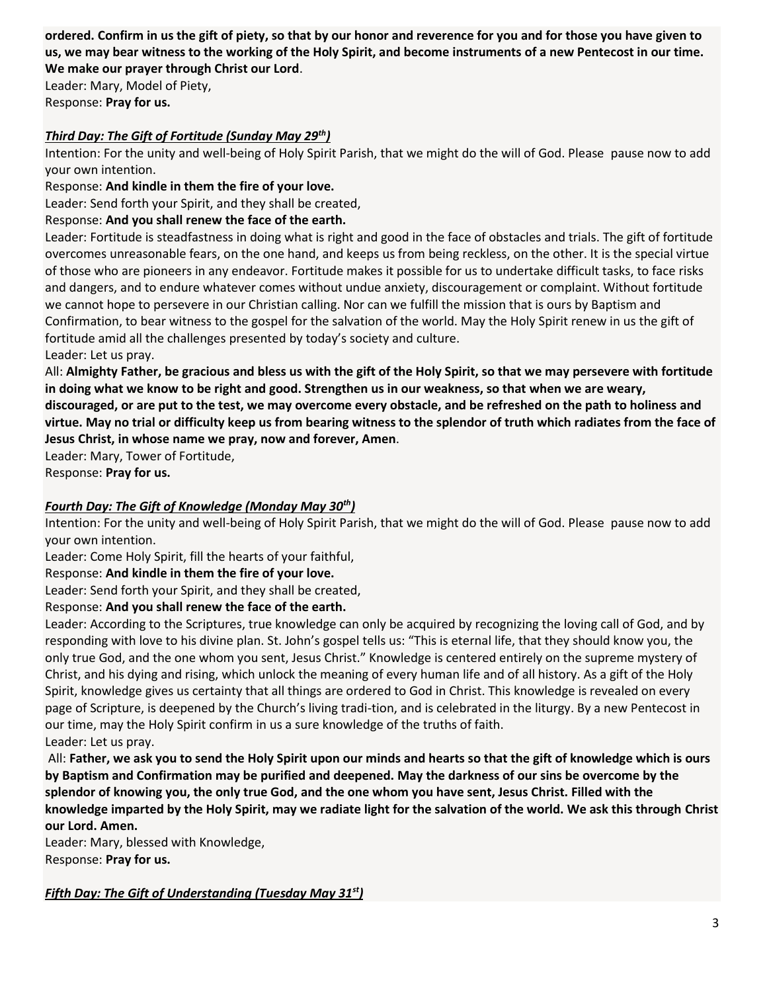**ordered. Confirm in us the gift of piety, so that by our honor and reverence for you and for those you have given to us, we may bear witness to the working of the Holy Spirit, and become instruments of a new Pentecost in our time. We make our prayer through Christ our Lord**.

Leader: Mary, Model of Piety, Response: **Pray for us.**

## *Third Day: The Gift of Fortitude (Sunday May 29th)*

Intention: For the unity and well-being of Holy Spirit Parish, that we might do the will of God. Please pause now to add your own intention.

Response: **And kindle in them the fire of your love.**

Leader: Send forth your Spirit, and they shall be created,

## Response: **And you shall renew the face of the earth.**

Leader: Fortitude is steadfastness in doing what is right and good in the face of obstacles and trials. The gift of fortitude overcomes unreasonable fears, on the one hand, and keeps us from being reckless, on the other. It is the special virtue of those who are pioneers in any endeavor. Fortitude makes it possible for us to undertake difficult tasks, to face risks and dangers, and to endure whatever comes without undue anxiety, discouragement or complaint. Without fortitude we cannot hope to persevere in our Christian calling. Nor can we fulfill the mission that is ours by Baptism and Confirmation, to bear witness to the gospel for the salvation of the world. May the Holy Spirit renew in us the gift of fortitude amid all the challenges presented by today's society and culture. Leader: Let us pray.

All: **Almighty Father, be gracious and bless us with the gift of the Holy Spirit, so that we may persevere with fortitude in doing what we know to be right and good. Strengthen us in our weakness, so that when we are weary, discouraged, or are put to the test, we may overcome every obstacle, and be refreshed on the path to holiness and virtue. May no trial or difficulty keep us from bearing witness to the splendor of truth which radiates from the face of Jesus Christ, in whose name we pray, now and forever, Amen**.

Leader: Mary, Tower of Fortitude,

Response: **Pray for us.**

## *Fourth Day: The Gift of Knowledge (Monday May 30th)*

Intention: For the unity and well-being of Holy Spirit Parish, that we might do the will of God. Please pause now to add your own intention.

Leader: Come Holy Spirit, fill the hearts of your faithful,

Response: **And kindle in them the fire of your love.**

Leader: Send forth your Spirit, and they shall be created,

## Response: **And you shall renew the face of the earth.**

Leader: According to the Scriptures, true knowledge can only be acquired by recognizing the loving call of God, and by responding with love to his divine plan. St. John's gospel tells us: "This is eternal life, that they should know you, the only true God, and the one whom you sent, Jesus Christ." Knowledge is centered entirely on the supreme mystery of Christ, and his dying and rising, which unlock the meaning of every human life and of all history. As a gift of the Holy Spirit, knowledge gives us certainty that all things are ordered to God in Christ. This knowledge is revealed on every page of Scripture, is deepened by the Church's living tradi-tion, and is celebrated in the liturgy. By a new Pentecost in our time, may the Holy Spirit confirm in us a sure knowledge of the truths of faith. Leader: Let us pray.

All: **Father, we ask you to send the Holy Spirit upon our minds and hearts so that the gift of knowledge which is ours by Baptism and Confirmation may be purified and deepened. May the darkness of our sins be overcome by the splendor of knowing you, the only true God, and the one whom you have sent, Jesus Christ. Filled with the knowledge imparted by the Holy Spirit, may we radiate light for the salvation of the world. We ask this through Christ our Lord. Amen.**

Leader: Mary, blessed with Knowledge, Response: **Pray for us.**

*Fifth Day: The Gift of Understanding (Tuesday May 31st)*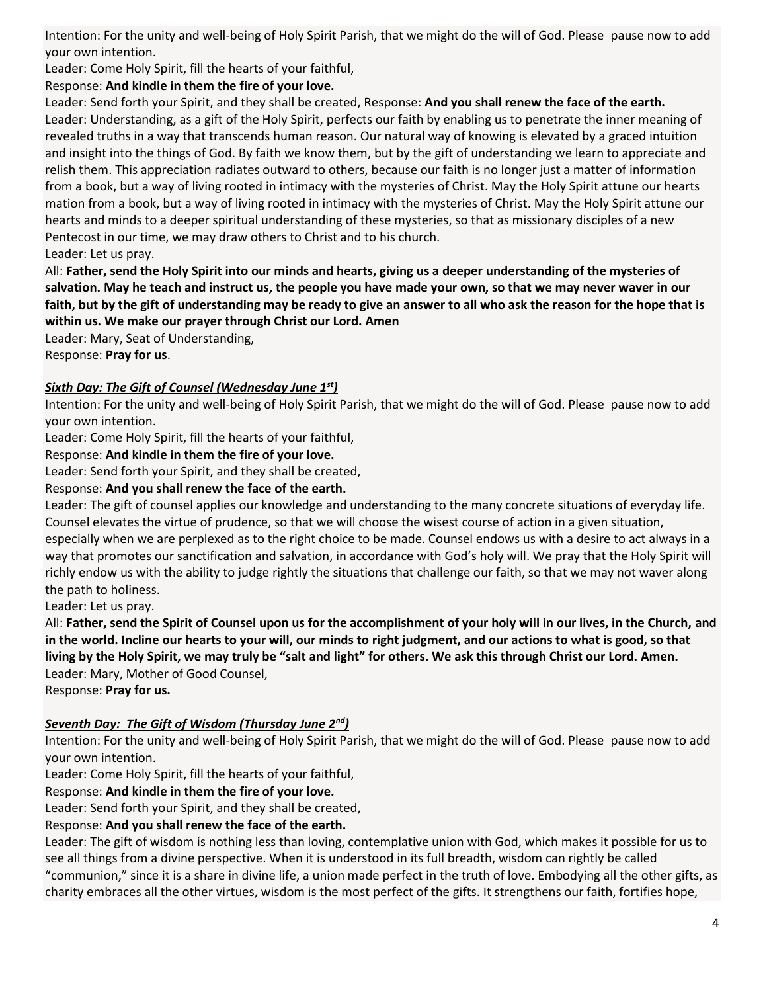Intention: For the unity and well-being of Holy Spirit Parish, that we might do the will of God. Please pause now to add your own intention.

Leader: Come Holy Spirit, fill the hearts of your faithful,

# Response: **And kindle in them the fire of your love.**

Leader: Send forth your Spirit, and they shall be created, Response: **And you shall renew the face of the earth.** Leader: Understanding, as a gift of the Holy Spirit, perfects our faith by enabling us to penetrate the inner meaning of revealed truths in a way that transcends human reason. Our natural way of knowing is elevated by a graced intuition and insight into the things of God. By faith we know them, but by the gift of understanding we learn to appreciate and relish them. This appreciation radiates outward to others, because our faith is no longer just a matter of information from a book, but a way of living rooted in intimacy with the mysteries of Christ. May the Holy Spirit attune our hearts mation from a book, but a way of living rooted in intimacy with the mysteries of Christ. May the Holy Spirit attune our hearts and minds to a deeper spiritual understanding of these mysteries, so that as missionary disciples of a new Pentecost in our time, we may draw others to Christ and to his church.

Leader: Let us pray.

All: **Father, send the Holy Spirit into our minds and hearts, giving us a deeper understanding of the mysteries of salvation. May he teach and instruct us, the people you have made your own, so that we may never waver in our faith, but by the gift of understanding may be ready to give an answer to all who ask the reason for the hope that is within us. We make our prayer through Christ our Lord. Amen**

Leader: Mary, Seat of Understanding, Response: **Pray for us**.

# *Sixth Day: The Gift of Counsel (Wednesday June 1st)*

Intention: For the unity and well-being of Holy Spirit Parish, that we might do the will of God. Please pause now to add your own intention.

Leader: Come Holy Spirit, fill the hearts of your faithful,

Response: **And kindle in them the fire of your love.**

Leader: Send forth your Spirit, and they shall be created,

# Response: **And you shall renew the face of the earth.**

Leader: The gift of counsel applies our knowledge and understanding to the many concrete situations of everyday life. Counsel elevates the virtue of prudence, so that we will choose the wisest course of action in a given situation,

especially when we are perplexed as to the right choice to be made. Counsel endows us with a desire to act always in a way that promotes our sanctification and salvation, in accordance with God's holy will. We pray that the Holy Spirit will richly endow us with the ability to judge rightly the situations that challenge our faith, so that we may not waver along the path to holiness.

Leader: Let us pray.

All: **Father, send the Spirit of Counsel upon us for the accomplishment of your holy will in our lives, in the Church, and in the world. Incline our hearts to your will, our minds to right judgment, and our actions to what is good, so that living by the Holy Spirit, we may truly be "salt and light" for others. We ask this through Christ our Lord. Amen.** Leader: Mary, Mother of Good Counsel,

Response: **Pray for us.**

# *Seventh Day: The Gift of Wisdom (Thursday June 2nd)*

Intention: For the unity and well-being of Holy Spirit Parish, that we might do the will of God. Please pause now to add your own intention.

Leader: Come Holy Spirit, fill the hearts of your faithful,

Response: **And kindle in them the fire of your love.**

Leader: Send forth your Spirit, and they shall be created,

## Response: **And you shall renew the face of the earth.**

Leader: The gift of wisdom is nothing less than loving, contemplative union with God, which makes it possible for us to see all things from a divine perspective. When it is understood in its full breadth, wisdom can rightly be called "communion," since it is a share in divine life, a union made perfect in the truth of love. Embodying all the other gifts, as charity embraces all the other virtues, wisdom is the most perfect of the gifts. It strengthens our faith, fortifies hope,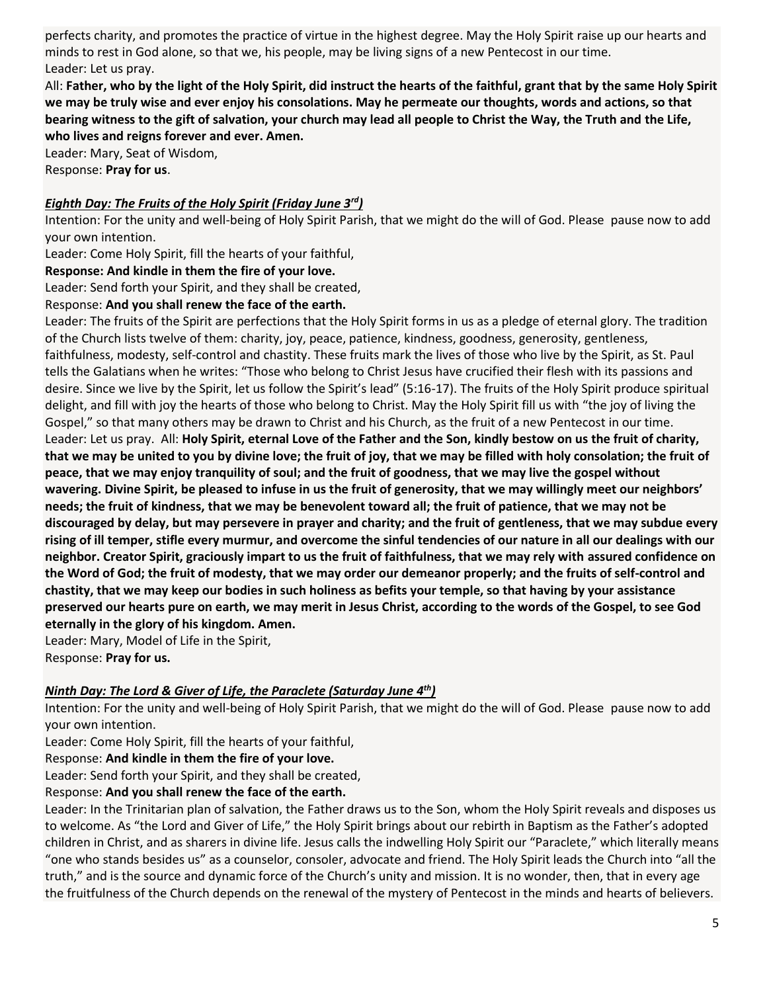perfects charity, and promotes the practice of virtue in the highest degree. May the Holy Spirit raise up our hearts and minds to rest in God alone, so that we, his people, may be living signs of a new Pentecost in our time. Leader: Let us pray.

All: **Father, who by the light of the Holy Spirit, did instruct the hearts of the faithful, grant that by the same Holy Spirit we may be truly wise and ever enjoy his consolations. May he permeate our thoughts, words and actions, so that bearing witness to the gift of salvation, your church may lead all people to Christ the Way, the Truth and the Life, who lives and reigns forever and ever. Amen.**

Leader: Mary, Seat of Wisdom, Response: **Pray for us**.

#### *Eighth Day: The Fruits of the Holy Spirit (Friday June 3rd)*

Intention: For the unity and well-being of Holy Spirit Parish, that we might do the will of God. Please pause now to add your own intention.

Leader: Come Holy Spirit, fill the hearts of your faithful,

#### **Response: And kindle in them the fire of your love.**

Leader: Send forth your Spirit, and they shall be created,

#### Response: **And you shall renew the face of the earth.**

Leader: The fruits of the Spirit are perfections that the Holy Spirit forms in us as a pledge of eternal glory. The tradition of the Church lists twelve of them: charity, joy, peace, patience, kindness, goodness, generosity, gentleness, faithfulness, modesty, self-control and chastity. These fruits mark the lives of those who live by the Spirit, as St. Paul tells the Galatians when he writes: "Those who belong to Christ Jesus have crucified their flesh with its passions and desire. Since we live by the Spirit, let us follow the Spirit's lead" (5:16-17). The fruits of the Holy Spirit produce spiritual delight, and fill with joy the hearts of those who belong to Christ. May the Holy Spirit fill us with "the joy of living the Gospel," so that many others may be drawn to Christ and his Church, as the fruit of a new Pentecost in our time. Leader: Let us pray. All: **Holy Spirit, eternal Love of the Father and the Son, kindly bestow on us the fruit of charity, that we may be united to you by divine love; the fruit of joy, that we may be filled with holy consolation; the fruit of peace, that we may enjoy tranquility of soul; and the fruit of goodness, that we may live the gospel without wavering. Divine Spirit, be pleased to infuse in us the fruit of generosity, that we may willingly meet our neighbors' needs; the fruit of kindness, that we may be benevolent toward all; the fruit of patience, that we may not be discouraged by delay, but may persevere in prayer and charity; and the fruit of gentleness, that we may subdue every rising of ill temper, stifle every murmur, and overcome the sinful tendencies of our nature in all our dealings with our neighbor. Creator Spirit, graciously impart to us the fruit of faithfulness, that we may rely with assured confidence on the Word of God; the fruit of modesty, that we may order our demeanor properly; and the fruits of self-control and chastity, that we may keep our bodies in such holiness as befits your temple, so that having by your assistance preserved our hearts pure on earth, we may merit in Jesus Christ, according to the words of the Gospel, to see God eternally in the glory of his kingdom. Amen.**

Leader: Mary, Model of Life in the Spirit,

Response: **Pray for us.**

#### *Ninth Day: The Lord & Giver of Life, the Paraclete (Saturday June 4th)*

Intention: For the unity and well-being of Holy Spirit Parish, that we might do the will of God. Please pause now to add your own intention.

Leader: Come Holy Spirit, fill the hearts of your faithful,

Response: **And kindle in them the fire of your love.**

Leader: Send forth your Spirit, and they shall be created,

#### Response: **And you shall renew the face of the earth.**

Leader: In the Trinitarian plan of salvation, the Father draws us to the Son, whom the Holy Spirit reveals and disposes us to welcome. As "the Lord and Giver of Life," the Holy Spirit brings about our rebirth in Baptism as the Father's adopted children in Christ, and as sharers in divine life. Jesus calls the indwelling Holy Spirit our "Paraclete," which literally means "one who stands besides us" as a counselor, consoler, advocate and friend. The Holy Spirit leads the Church into "all the truth," and is the source and dynamic force of the Church's unity and mission. It is no wonder, then, that in every age the fruitfulness of the Church depends on the renewal of the mystery of Pentecost in the minds and hearts of believers.